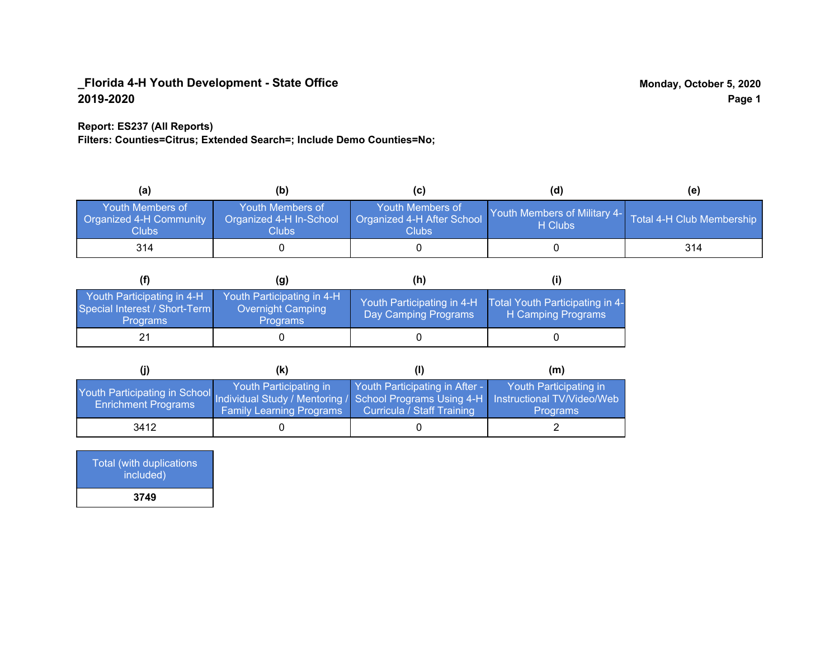### **Report: ES237 (All Reports)**

**Filters: Counties=Citrus; Extended Search=; Include Demo Counties=No;**

| (a)                                                  | (b)                                                   | (C)                                                       | (d)                                                               | (e) |
|------------------------------------------------------|-------------------------------------------------------|-----------------------------------------------------------|-------------------------------------------------------------------|-----|
| Youth Members of<br>Organized 4-H Community<br>Clubs | Youth Members of<br>Organized 4-H In-School<br>Clubs: | Youth Members of<br>Organized 4-H After School<br>Clubs : | Youth Members of Military 4- Total 4-H Club Membership<br>H Clubs |     |
| 314                                                  |                                                       |                                                           |                                                                   | 314 |

|                                                                                | (g)                                                                 | (h)                                                 |                                                       |
|--------------------------------------------------------------------------------|---------------------------------------------------------------------|-----------------------------------------------------|-------------------------------------------------------|
| Youth Participating in 4-H<br>Special Interest / Short-Term<br><b>Programs</b> | Youth Participating in 4-H,<br>Overnight Camping<br><b>Programs</b> | Youth Participating in 4-H,<br>Day Camping Programs | Total Youth Participating in 4-<br>H Camping Programs |
|                                                                                |                                                                     |                                                     |                                                       |

|                                                                                                                                                   | (K)                                                       |                                                                     | (m)                                       |
|---------------------------------------------------------------------------------------------------------------------------------------------------|-----------------------------------------------------------|---------------------------------------------------------------------|-------------------------------------------|
| Youth Participating in School Individual Study / Mentoring / School Programs Using 4-H   Instructional TV/Video/Web<br><b>Enrichment Programs</b> | Youth Participating in<br><b>Family Learning Programs</b> | Youth Participating in After -<br><b>Curricula / Staff Training</b> | Youth Participating in<br><b>Programs</b> |
| 3412                                                                                                                                              |                                                           |                                                                     |                                           |

| Total (with duplications<br>included) |
|---------------------------------------|
| 3749                                  |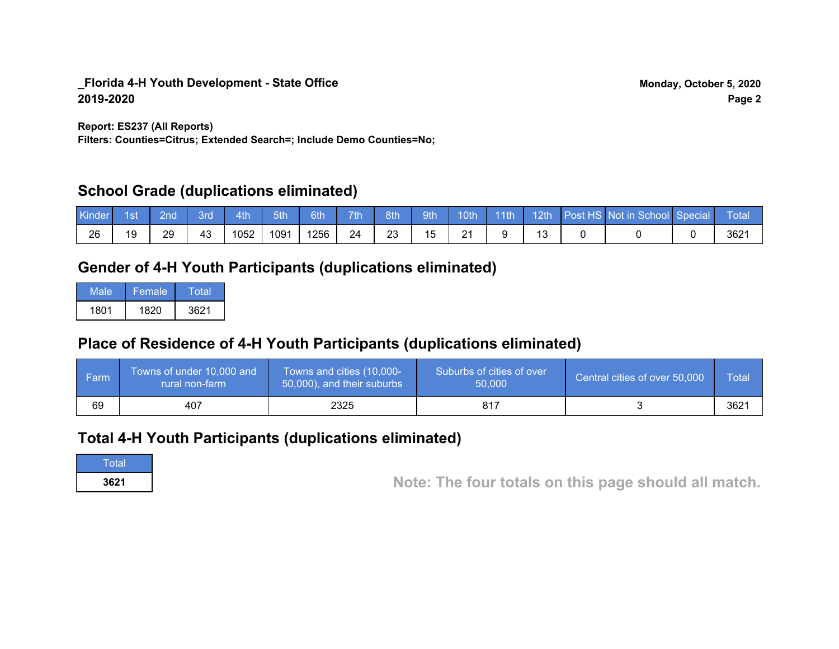**Report: ES237 (All Reports)**

**Filters: Counties=Citrus; Extended Search=; Include Demo Counties=No;**

## **School Grade (duplications eliminated)**

| Kinder | 1st | ?nd | 3rd | 4th  | 5th  | 6th  | 7th <sup>1</sup> | 8th | 9th       | 10th          | $\cdot$ 11th | 12th | Post HS Not in School Special | Total |
|--------|-----|-----|-----|------|------|------|------------------|-----|-----------|---------------|--------------|------|-------------------------------|-------|
| 26     | 19  | 29  | 43  | 1052 | 1091 | 1256 | 24               | 23  | <b>15</b> | $\Omega$<br>∠ |              |      |                               | 3621  |

## **Gender of 4-H Youth Participants (duplications eliminated)**

| Male | ا Female | Total |
|------|----------|-------|
| 1801 | 1820     | 3621  |

## **Place of Residence of 4-H Youth Participants (duplications eliminated)**

| l Farm | Towns of under 10,000 and<br>rural non-farm | Towns and cities (10,000-<br>50,000), and their suburbs | Suburbs of cities of over<br>50,000 | Central cities of over 50,000 | Total |
|--------|---------------------------------------------|---------------------------------------------------------|-------------------------------------|-------------------------------|-------|
| 69     | 407                                         | 2325                                                    | 817                                 |                               | 3621  |

## **Total 4-H Youth Participants (duplications eliminated)**

**Total** 

**<sup>3621</sup> Note: The four totals on this page should all match.**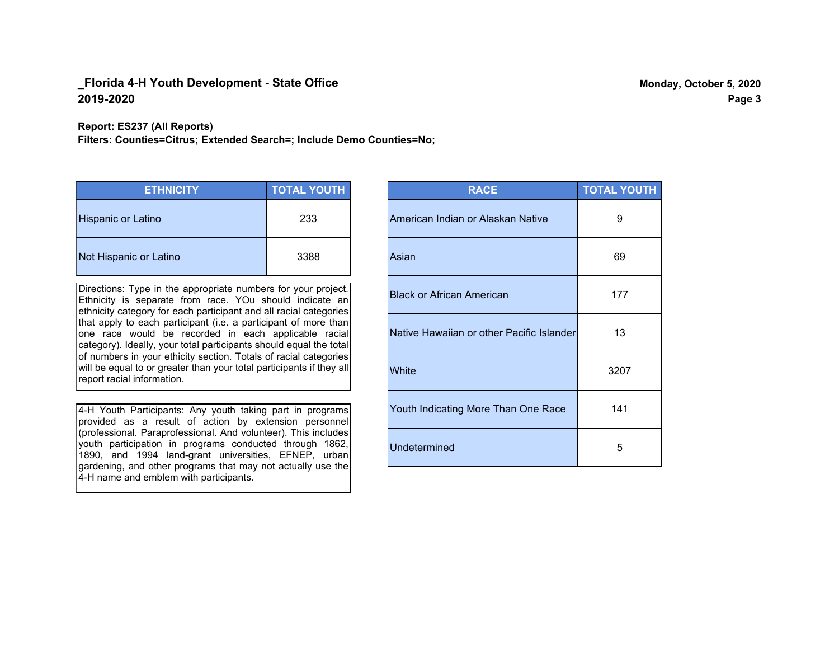**Report: ES237 (All Reports)**

**Filters: Counties=Citrus; Extended Search=; Include Demo Counties=No;**

| <b>ETHNICITY</b>          | <b>TOTAL YOUTH</b> |
|---------------------------|--------------------|
| <b>Hispanic or Latino</b> | 233                |
| Not Hispanic or Latino    | 3388               |

Directions: Type in the appropriate numbers for your project. Ethnicity is separate from race. YOu should indicate an ethnicity category for each participant and all racial categories that apply to each participant (i.e. a participant of more than one race would be recorded in each applicable racial category). Ideally, your total participants should equal the total of numbers in your ethicity section. Totals of racial categories will be equal to or greater than your total participants if they all report racial information.

4-H Youth Participants: Any youth taking part in programs provided as a result of action by extension personnel (professional. Paraprofessional. And volunteer). This includes youth participation in programs conducted through 1862, 1890, and 1994 land-grant universities, EFNEP, urban gardening, and other programs that may not actually use the 4-H name and emblem with participants.

| <b>RACE</b>                               | <b>TOTAL YOUTH</b> |
|-------------------------------------------|--------------------|
| American Indian or Alaskan Native         | 9                  |
| Asian                                     | 69                 |
| <b>Black or African American</b>          | 177                |
| Native Hawaiian or other Pacific Islander | 13                 |
| White                                     | 3207               |
| Youth Indicating More Than One Race       | 141                |
| <b>Undetermined</b>                       | 5                  |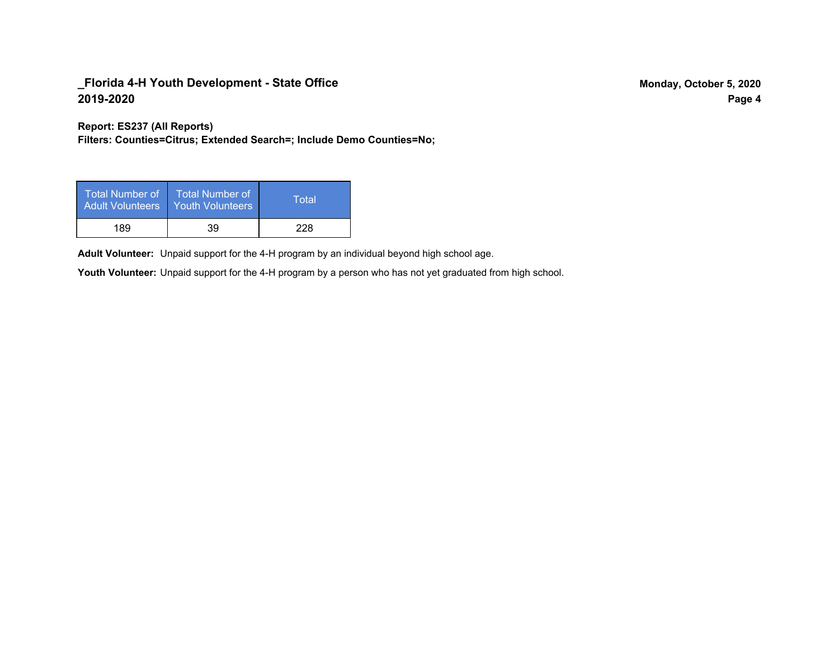**Report: ES237 (All Reports)**

**Filters: Counties=Citrus; Extended Search=; Include Demo Counties=No;**

| Total Number of ˈ<br><b>Adult Volunteers</b> | <b>Total Number of</b><br><b>Youth Volunteers</b> | Total |
|----------------------------------------------|---------------------------------------------------|-------|
| 189                                          | 39                                                | 228   |

Adult Volunteer: Unpaid support for the 4-H program by an individual beyond high school age.

Youth Volunteer: Unpaid support for the 4-H program by a person who has not yet graduated from high school.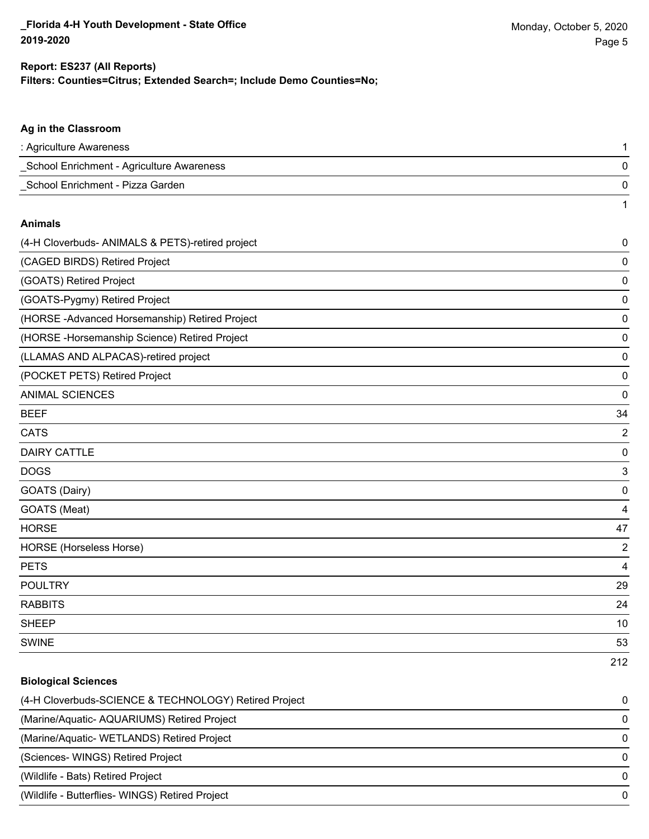212

#### **Filters: Counties=Citrus; Extended Search=; Include Demo Counties=No; Report: ES237 (All Reports)**

# **Ag in the Classroom** : Agriculture Awareness 1 \_School Enrichment - Agriculture Awareness 0 \_School Enrichment - Pizza Garden 0 1 **Animals** (4-H Cloverbuds- ANIMALS & PETS)-retired project 0 (CAGED BIRDS) Retired Project 0 (GOATS) Retired Project 0 (GOATS-Pygmy) Retired Project 0 (HORSE -Advanced Horsemanship) Retired Project 0 (HORSE -Horsemanship Science) Retired Project 0 (LLAMAS AND ALPACAS)-retired project 0 (POCKET PETS) Retired Project 0 ANIMAL SCIENCES 0  $BEEF$  34 CATS 22 and 22 and 22 and 23 and 23 and 23 and 23 and 23 and 23 and 23 and 23 and 24 and 25 and 26 and 26 and 26 and 26 and 26 and 26 and 26 and 26 and 26 and 26 and 26 and 26 and 26 and 26 and 26 and 26 and 26 and 26 and DAIRY CATTLE 0 do distribution of the contract of the contract of the contract of the contract of the contract of the contract of the contract of the contract of the contract of the contract of the contract of the contract of the contrac GOATS (Dairy) 0 GOATS (Meat) 4 HORSE 47 HORSE (Horseless Horse) 2 PETS 4 POULTRY 29 RABBITS 24  $\mathsf{SHEEP}$  and the set of the set of the set of the set of the set of the set of the set of the set of the set of the set of the set of the set of the set of the set of the set of the set of the set of the set of the set SWINE 53

## **Biological Sciences** (4-H Cloverbuds-SCIENCE & TECHNOLOGY) Retired Project 0 (Marine/Aquatic- AQUARIUMS) Retired Project 0 (Marine/Aquatic- WETLANDS) Retired Project 0 (Sciences- WINGS) Retired Project 0 (Wildlife - Bats) Retired Project 0 (Wildlife - Butterflies- WINGS) Retired Project 0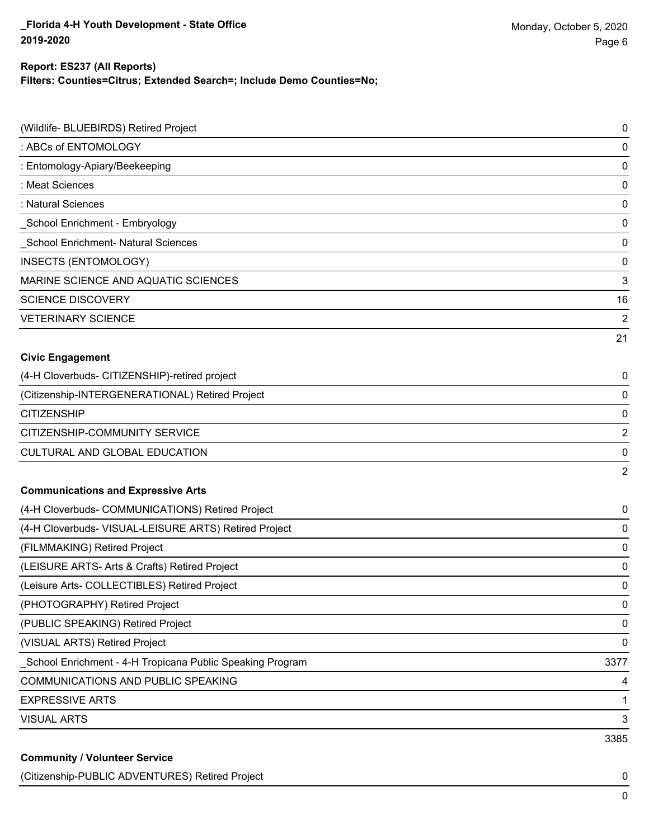## **Report: ES237 (All Reports)**

**Filters: Counties=Citrus; Extended Search=; Include Demo Counties=No;**

| (Wildlife- BLUEBIRDS) Retired Project                      | 0              |
|------------------------------------------------------------|----------------|
| : ABCs of ENTOMOLOGY                                       | 0              |
| : Entomology-Apiary/Beekeeping                             | 0              |
| : Meat Sciences                                            | 0              |
| : Natural Sciences                                         | $\pmb{0}$      |
| _School Enrichment - Embryology                            | $\pmb{0}$      |
| School Enrichment- Natural Sciences                        | $\pmb{0}$      |
| <b>INSECTS (ENTOMOLOGY)</b>                                | $\pmb{0}$      |
| MARINE SCIENCE AND AQUATIC SCIENCES                        | 3              |
| <b>SCIENCE DISCOVERY</b>                                   | 16             |
| <b>VETERINARY SCIENCE</b>                                  | 2              |
|                                                            | 21             |
| <b>Civic Engagement</b>                                    |                |
| (4-H Cloverbuds- CITIZENSHIP)-retired project              | 0              |
| (Citizenship-INTERGENERATIONAL) Retired Project            | 0              |
| <b>CITIZENSHIP</b>                                         | $\pmb{0}$      |
| CITIZENSHIP-COMMUNITY SERVICE                              | 2              |
| CULTURAL AND GLOBAL EDUCATION                              | 0              |
|                                                            | $\overline{2}$ |
| <b>Communications and Expressive Arts</b>                  |                |
| (4-H Cloverbuds- COMMUNICATIONS) Retired Project           | 0              |
| (4-H Cloverbuds- VISUAL-LEISURE ARTS) Retired Project      | 0              |
| (FILMMAKING) Retired Project                               | 0              |
| (LEISURE ARTS- Arts & Crafts) Retired Project              | 0              |
| (Leisure Arts- COLLECTIBLES) Retired Project               | 0              |
| (PHOTOGRAPHY) Retired Project                              | $\pmb{0}$      |
| (PUBLIC SPEAKING) Retired Project                          | $\pmb{0}$      |
| (VISUAL ARTS) Retired Project                              | $\pmb{0}$      |
| _School Enrichment - 4-H Tropicana Public Speaking Program | 3377           |
| <b>COMMUNICATIONS AND PUBLIC SPEAKING</b>                  | 4              |
| <b>EXPRESSIVE ARTS</b>                                     | $\mathbf{1}$   |
| <b>VISUAL ARTS</b>                                         | 3              |
|                                                            | 3385           |
| <b>Community / Volunteer Service</b>                       |                |

(Citizenship-PUBLIC ADVENTURES) Retired Project 0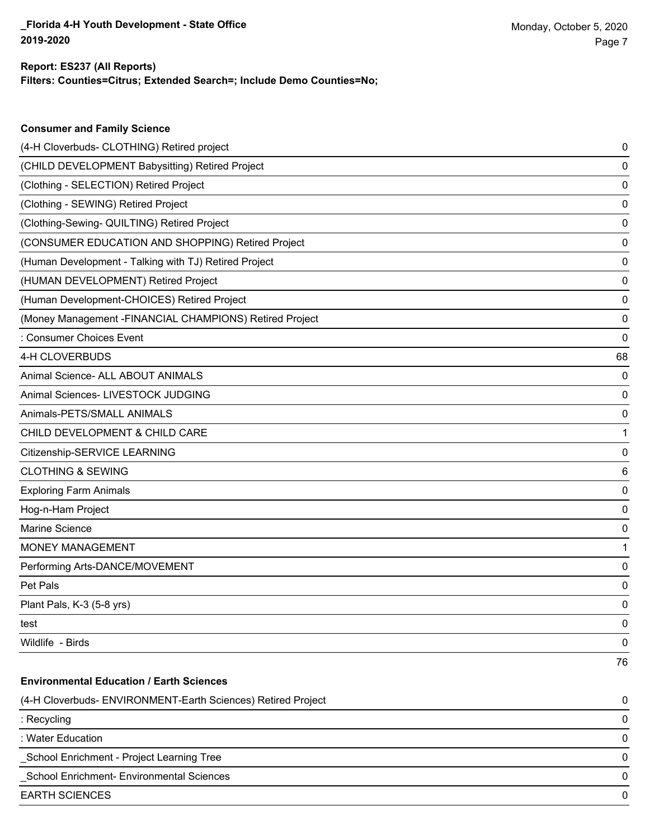**Consumer and Family Science**

### **Filters: Counties=Citrus; Extended Search=; Include Demo Counties=No; Report: ES237 (All Reports)**

| (4-H Cloverbuds- CLOTHING) Retired project                   | 0  |
|--------------------------------------------------------------|----|
| (CHILD DEVELOPMENT Babysitting) Retired Project              | 0  |
| (Clothing - SELECTION) Retired Project                       | 0  |
| (Clothing - SEWING) Retired Project                          | 0  |
| (Clothing-Sewing- QUILTING) Retired Project                  | 0  |
| (CONSUMER EDUCATION AND SHOPPING) Retired Project            | 0  |
| (Human Development - Talking with TJ) Retired Project        | 0  |
| (HUMAN DEVELOPMENT) Retired Project                          | 0  |
| (Human Development-CHOICES) Retired Project                  | 0  |
| (Money Management -FINANCIAL CHAMPIONS) Retired Project      | 0  |
| : Consumer Choices Event                                     | 0  |
| 4-H CLOVERBUDS                                               | 68 |
| Animal Science- ALL ABOUT ANIMALS                            | 0  |
| Animal Sciences- LIVESTOCK JUDGING                           | 0  |
| Animals-PETS/SMALL ANIMALS                                   | 0  |
| CHILD DEVELOPMENT & CHILD CARE                               | 1  |
| Citizenship-SERVICE LEARNING                                 | 0  |
| <b>CLOTHING &amp; SEWING</b>                                 | 6  |
| <b>Exploring Farm Animals</b>                                | 0  |
| Hog-n-Ham Project                                            | 0  |
| Marine Science                                               | 0  |
| <b>MONEY MANAGEMENT</b>                                      | 1  |
| Performing Arts-DANCE/MOVEMENT                               | 0  |
| Pet Pals                                                     | 0  |
| Plant Pals, K-3 (5-8 yrs)                                    | 0  |
| test                                                         | 0  |
| Wildlife - Birds                                             | 0  |
|                                                              | 76 |
| <b>Environmental Education / Earth Sciences</b>              |    |
| (4-H Cloverbuds- ENVIRONMENT-Earth Sciences) Retired Project | 0  |
| : Recycling                                                  | 0  |
| : Water Education                                            | 0  |
| School Enrichment - Project Learning Tree                    | 0  |
| School Enrichment- Environmental Sciences                    | 0  |
| <b>EARTH SCIENCES</b>                                        | 0  |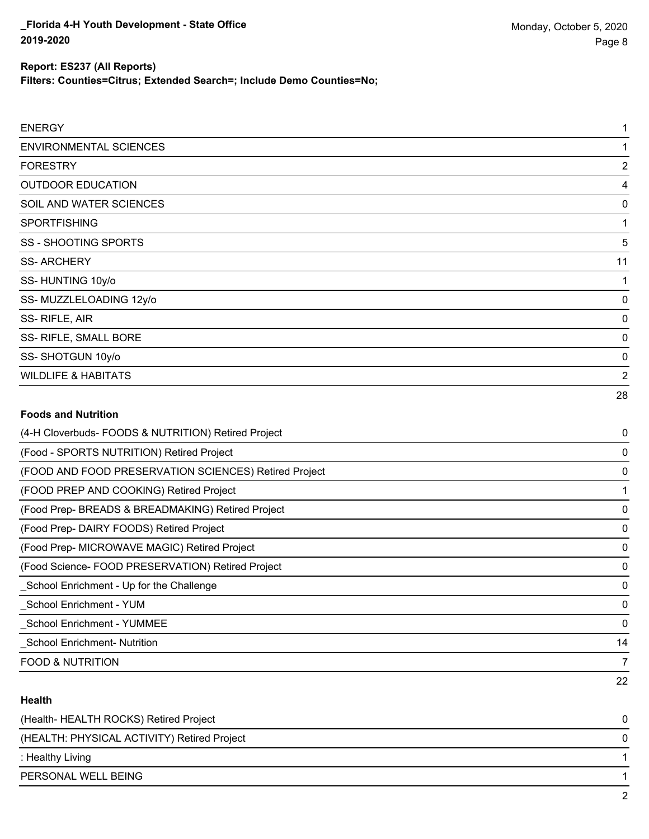**Filters: Counties=Citrus; Extended Search=; Include Demo Counties=No;**

| <b>ENERGY</b>                                         | 1              |
|-------------------------------------------------------|----------------|
| <b>ENVIRONMENTAL SCIENCES</b>                         | 1              |
| <b>FORESTRY</b>                                       | $\overline{c}$ |
| <b>OUTDOOR EDUCATION</b>                              | 4              |
| SOIL AND WATER SCIENCES                               | 0              |
| SPORTFISHING                                          | 1              |
| <b>SS - SHOOTING SPORTS</b>                           | 5              |
| <b>SS-ARCHERY</b>                                     | 11             |
| SS-HUNTING 10y/o                                      | 1              |
| SS-MUZZLELOADING 12y/o                                | 0              |
| SS-RIFLE, AIR                                         | 0              |
| SS- RIFLE, SMALL BORE                                 | 0              |
| SS-SHOTGUN 10y/o                                      | 0              |
| <b>WILDLIFE &amp; HABITATS</b>                        | $\overline{2}$ |
|                                                       | 28             |
| <b>Foods and Nutrition</b>                            |                |
| (4-H Cloverbuds- FOODS & NUTRITION) Retired Project   | 0              |
| (Food - SPORTS NUTRITION) Retired Project             | 0              |
| (FOOD AND FOOD PRESERVATION SCIENCES) Retired Project | 0              |
| (FOOD PREP AND COOKING) Retired Project               | 1              |
| (Food Prep- BREADS & BREADMAKING) Retired Project     | 0              |
| (Food Prep- DAIRY FOODS) Retired Project              | 0              |
| (Food Prep- MICROWAVE MAGIC) Retired Project          | 0              |
| (Food Science- FOOD PRESERVATION) Retired Project     | 0              |
| School Enrichment - Up for the Challenge              | 0              |
| School Enrichment - YUM                               | 0              |
| <b>School Enrichment - YUMMEE</b>                     | 0              |
| <b>School Enrichment-Nutrition</b>                    | 14             |

#### **Health**

| (Health-HEALTH ROCKS) Retired Project       |   |
|---------------------------------------------|---|
| (HEALTH: PHYSICAL ACTIVITY) Retired Project | 0 |
| : Healthy Living                            |   |
| PERSONAL WELL BEING                         |   |
|                                             |   |

FOOD & NUTRITION TO A RESERVE THE STATE OF THE STATE OF THE STATE OF THE STATE OF THE STATE OF THE STATE OF THE STATE OF THE STATE OF THE STATE OF THE STATE OF THE STATE OF THE STATE OF THE STATE OF THE STATE OF THE STATE

22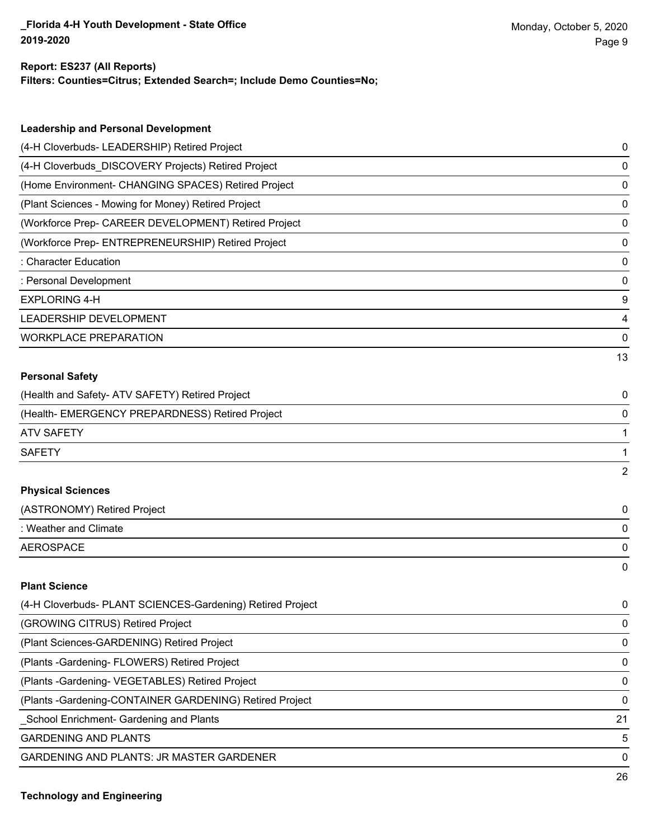#### **Report: ES237 (All Reports)**

**Filters: Counties=Citrus; Extended Search=; Include Demo Counties=No;**

| <b>Leadership and Personal Development</b>                 |                |
|------------------------------------------------------------|----------------|
| (4-H Cloverbuds- LEADERSHIP) Retired Project               | 0              |
| (4-H Cloverbuds_DISCOVERY Projects) Retired Project        | $\mathbf 0$    |
| (Home Environment- CHANGING SPACES) Retired Project        | 0              |
| (Plant Sciences - Mowing for Money) Retired Project        | 0              |
| (Workforce Prep- CAREER DEVELOPMENT) Retired Project       | $\mathbf 0$    |
| (Workforce Prep- ENTREPRENEURSHIP) Retired Project         | 0              |
| : Character Education                                      | 0              |
| : Personal Development                                     | 0              |
| <b>EXPLORING 4-H</b>                                       | 9              |
| LEADERSHIP DEVELOPMENT                                     | 4              |
| <b>WORKPLACE PREPARATION</b>                               | 0              |
|                                                            | 13             |
| <b>Personal Safety</b>                                     |                |
| (Health and Safety- ATV SAFETY) Retired Project            | 0              |
| (Health- EMERGENCY PREPARDNESS) Retired Project            | 0              |
| <b>ATV SAFETY</b>                                          | 1              |
| <b>SAFETY</b>                                              | 1              |
|                                                            | $\overline{2}$ |
| <b>Physical Sciences</b>                                   |                |
| (ASTRONOMY) Retired Project                                | 0              |
| : Weather and Climate                                      | 0              |
| <b>AEROSPACE</b>                                           | 0              |
|                                                            | 0              |
| <b>Plant Science</b>                                       |                |
| (4-H Cloverbuds- PLANT SCIENCES-Gardening) Retired Project | 0              |
| (GROWING CITRUS) Retired Project                           | 0              |
| (Plant Sciences-GARDENING) Retired Project                 | 0              |

(Plants -Gardening- FLOWERS) Retired Project 0

(Plants -Gardening- VEGETABLES) Retired Project 0

(Plants -Gardening-CONTAINER GARDENING) Retired Project 0

\_School Enrichment- Gardening and Plants 21

GARDENING AND PLANTS 5

GARDENING AND PLANTS: JR MASTER GARDENER 0